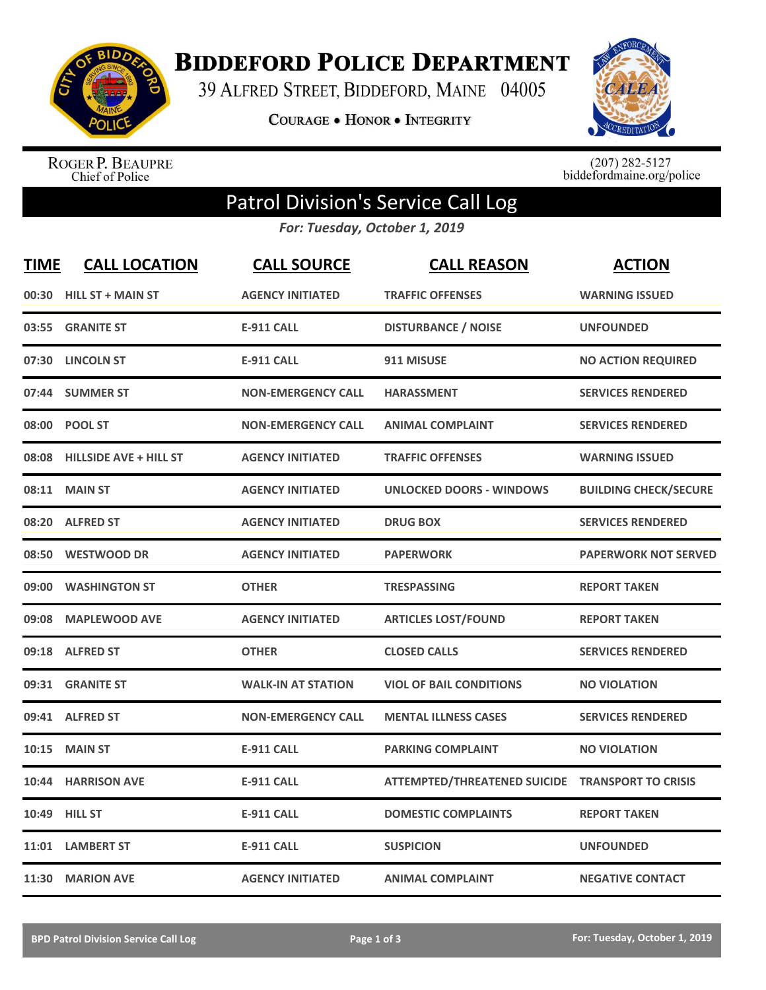

**BIDDEFORD POLICE DEPARTMENT** 

39 ALFRED STREET, BIDDEFORD, MAINE 04005

**COURAGE . HONOR . INTEGRITY** 



ROGER P. BEAUPRE<br>Chief of Police

 $(207)$  282-5127<br>biddefordmaine.org/police

## Patrol Division's Service Call Log

*For: Tuesday, October 1, 2019*

| <b>TIME</b> | <b>CALL LOCATION</b>         | <b>CALL SOURCE</b>        | <b>CALL REASON</b>                  | <b>ACTION</b>                |
|-------------|------------------------------|---------------------------|-------------------------------------|------------------------------|
|             | 00:30 HILL ST + MAIN ST      | <b>AGENCY INITIATED</b>   | <b>TRAFFIC OFFENSES</b>             | <b>WARNING ISSUED</b>        |
| 03:55       | <b>GRANITE ST</b>            | <b>E-911 CALL</b>         | <b>DISTURBANCE / NOISE</b>          | <b>UNFOUNDED</b>             |
| 07:30       | <b>LINCOLN ST</b>            | <b>E-911 CALL</b>         | 911 MISUSE                          | <b>NO ACTION REQUIRED</b>    |
|             | 07:44 SUMMER ST              | <b>NON-EMERGENCY CALL</b> | <b>HARASSMENT</b>                   | <b>SERVICES RENDERED</b>     |
|             | 08:00 POOL ST                | <b>NON-EMERGENCY CALL</b> | <b>ANIMAL COMPLAINT</b>             | <b>SERVICES RENDERED</b>     |
|             | 08:08 HILLSIDE AVE + HILL ST | <b>AGENCY INITIATED</b>   | <b>TRAFFIC OFFENSES</b>             | <b>WARNING ISSUED</b>        |
| 08:11       | <b>MAIN ST</b>               | <b>AGENCY INITIATED</b>   | <b>UNLOCKED DOORS - WINDOWS</b>     | <b>BUILDING CHECK/SECURE</b> |
| 08:20       | <b>ALFRED ST</b>             | <b>AGENCY INITIATED</b>   | <b>DRUG BOX</b>                     | <b>SERVICES RENDERED</b>     |
| 08:50       | <b>WESTWOOD DR</b>           | <b>AGENCY INITIATED</b>   | <b>PAPERWORK</b>                    | <b>PAPERWORK NOT SERVED</b>  |
| 09:00       | <b>WASHINGTON ST</b>         | <b>OTHER</b>              | <b>TRESPASSING</b>                  | <b>REPORT TAKEN</b>          |
|             | 09:08 MAPLEWOOD AVE          | <b>AGENCY INITIATED</b>   | <b>ARTICLES LOST/FOUND</b>          | <b>REPORT TAKEN</b>          |
| 09:18       | <b>ALFRED ST</b>             | <b>OTHER</b>              | <b>CLOSED CALLS</b>                 | <b>SERVICES RENDERED</b>     |
| 09:31       | <b>GRANITE ST</b>            | <b>WALK-IN AT STATION</b> | <b>VIOL OF BAIL CONDITIONS</b>      | <b>NO VIOLATION</b>          |
| 09:41       | <b>ALFRED ST</b>             | <b>NON-EMERGENCY CALL</b> | <b>MENTAL ILLNESS CASES</b>         | <b>SERVICES RENDERED</b>     |
| 10:15       | <b>MAIN ST</b>               | <b>E-911 CALL</b>         | <b>PARKING COMPLAINT</b>            | <b>NO VIOLATION</b>          |
| 10:44       | <b>HARRISON AVE</b>          | <b>E-911 CALL</b>         | <b>ATTEMPTED/THREATENED SUICIDE</b> | <b>TRANSPORT TO CRISIS</b>   |
|             | 10:49 HILL ST                | <b>E-911 CALL</b>         | <b>DOMESTIC COMPLAINTS</b>          | <b>REPORT TAKEN</b>          |
|             | 11:01 LAMBERT ST             | <b>E-911 CALL</b>         | <b>SUSPICION</b>                    | <b>UNFOUNDED</b>             |
|             | 11:30 MARION AVE             | <b>AGENCY INITIATED</b>   | <b>ANIMAL COMPLAINT</b>             | <b>NEGATIVE CONTACT</b>      |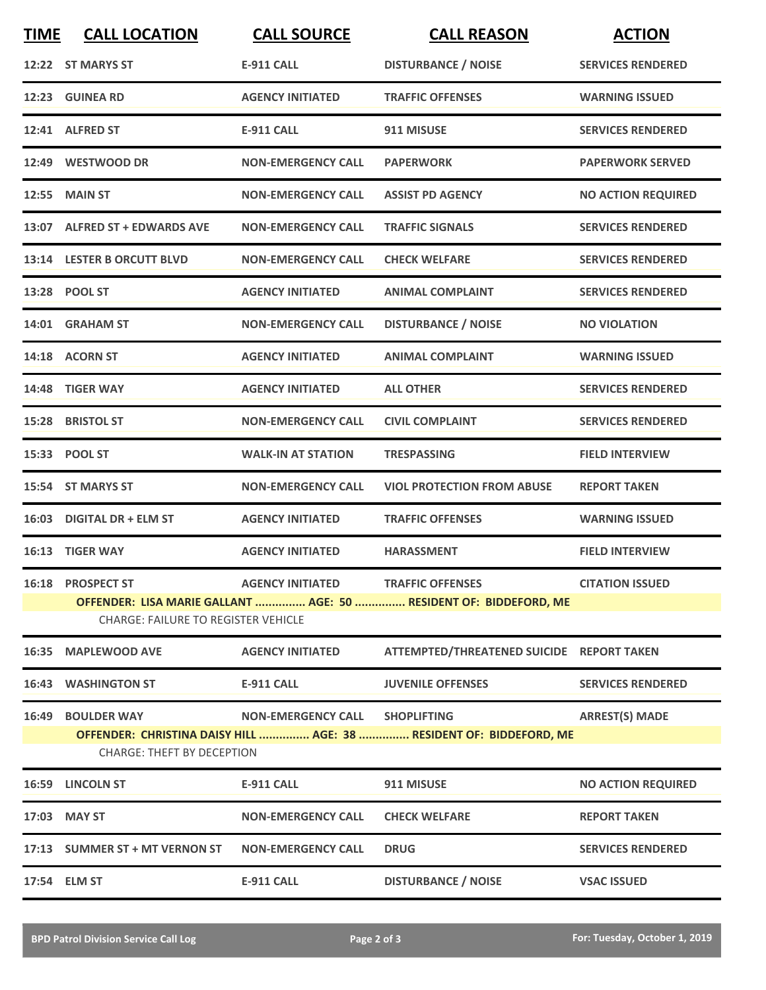| <b>TIME</b> | <b>CALL LOCATION</b>                       | <b>CALL SOURCE</b>        | <b>CALL REASON</b>                                                  | <b>ACTION</b>             |
|-------------|--------------------------------------------|---------------------------|---------------------------------------------------------------------|---------------------------|
|             | 12:22 ST MARYS ST                          | <b>E-911 CALL</b>         | <b>DISTURBANCE / NOISE</b>                                          | <b>SERVICES RENDERED</b>  |
|             | 12:23 GUINEA RD                            | <b>AGENCY INITIATED</b>   | <b>TRAFFIC OFFENSES</b>                                             | <b>WARNING ISSUED</b>     |
|             | 12:41 ALFRED ST                            | <b>E-911 CALL</b>         | 911 MISUSE                                                          | <b>SERVICES RENDERED</b>  |
|             | 12:49 WESTWOOD DR                          | <b>NON-EMERGENCY CALL</b> | <b>PAPERWORK</b>                                                    | <b>PAPERWORK SERVED</b>   |
|             | <b>12:55 MAIN ST</b>                       | <b>NON-EMERGENCY CALL</b> | <b>ASSIST PD AGENCY</b>                                             | <b>NO ACTION REQUIRED</b> |
|             | 13:07 ALFRED ST + EDWARDS AVE              | <b>NON-EMERGENCY CALL</b> | <b>TRAFFIC SIGNALS</b>                                              | <b>SERVICES RENDERED</b>  |
|             | 13:14 LESTER B ORCUTT BLVD                 | <b>NON-EMERGENCY CALL</b> | <b>CHECK WELFARE</b>                                                | <b>SERVICES RENDERED</b>  |
|             | 13:28 POOL ST                              | <b>AGENCY INITIATED</b>   | <b>ANIMAL COMPLAINT</b>                                             | <b>SERVICES RENDERED</b>  |
| 14:01       | <b>GRAHAM ST</b>                           | <b>NON-EMERGENCY CALL</b> | <b>DISTURBANCE / NOISE</b>                                          | <b>NO VIOLATION</b>       |
|             | 14:18 ACORN ST                             | <b>AGENCY INITIATED</b>   | <b>ANIMAL COMPLAINT</b>                                             | <b>WARNING ISSUED</b>     |
|             | 14:48 TIGER WAY                            | <b>AGENCY INITIATED</b>   | <b>ALL OTHER</b>                                                    | <b>SERVICES RENDERED</b>  |
| 15:28       | <b>BRISTOL ST</b>                          | <b>NON-EMERGENCY CALL</b> | <b>CIVIL COMPLAINT</b>                                              | <b>SERVICES RENDERED</b>  |
|             | 15:33 POOL ST                              | <b>WALK-IN AT STATION</b> | <b>TRESPASSING</b>                                                  | <b>FIELD INTERVIEW</b>    |
|             | 15:54 ST MARYS ST                          | <b>NON-EMERGENCY CALL</b> | <b>VIOL PROTECTION FROM ABUSE</b>                                   | <b>REPORT TAKEN</b>       |
| 16:03       | <b>DIGITAL DR + ELM ST</b>                 | <b>AGENCY INITIATED</b>   | <b>TRAFFIC OFFENSES</b>                                             | <b>WARNING ISSUED</b>     |
|             | 16:13 TIGER WAY                            | <b>AGENCY INITIATED</b>   | <b>HARASSMENT</b>                                                   | <b>FIELD INTERVIEW</b>    |
|             | 16:18 PROSPECT ST                          | <b>AGENCY INITIATED</b>   | <b>TRAFFIC OFFENSES</b>                                             | <b>CITATION ISSUED</b>    |
|             | <b>CHARGE: FAILURE TO REGISTER VEHICLE</b> |                           | OFFENDER: LISA MARIE GALLANT  AGE: 50  RESIDENT OF: BIDDEFORD, ME   |                           |
|             | 16:35 MAPLEWOOD AVE                        | <b>AGENCY INITIATED</b>   | ATTEMPTED/THREATENED SUICIDE REPORT TAKEN                           |                           |
|             | 16:43 WASHINGTON ST                        | <b>E-911 CALL</b>         | <b>JUVENILE OFFENSES</b>                                            | <b>SERVICES RENDERED</b>  |
| 16:49       | <b>BOULDER WAY</b>                         | <b>NON-EMERGENCY CALL</b> | <b>SHOPLIFTING</b>                                                  | <b>ARREST(S) MADE</b>     |
|             | <b>CHARGE: THEFT BY DECEPTION</b>          |                           | OFFENDER: CHRISTINA DAISY HILL  AGE: 38  RESIDENT OF: BIDDEFORD, ME |                           |
|             | 16:59 LINCOLN ST                           | <b>E-911 CALL</b>         | 911 MISUSE                                                          | <b>NO ACTION REQUIRED</b> |
|             | 17:03 MAY ST                               | <b>NON-EMERGENCY CALL</b> | <b>CHECK WELFARE</b>                                                | <b>REPORT TAKEN</b>       |
|             | 17:13 SUMMER ST + MT VERNON ST             | <b>NON-EMERGENCY CALL</b> | <b>DRUG</b>                                                         | <b>SERVICES RENDERED</b>  |
|             | 17:54 ELM ST                               | <b>E-911 CALL</b>         | <b>DISTURBANCE / NOISE</b>                                          | <b>VSAC ISSUED</b>        |